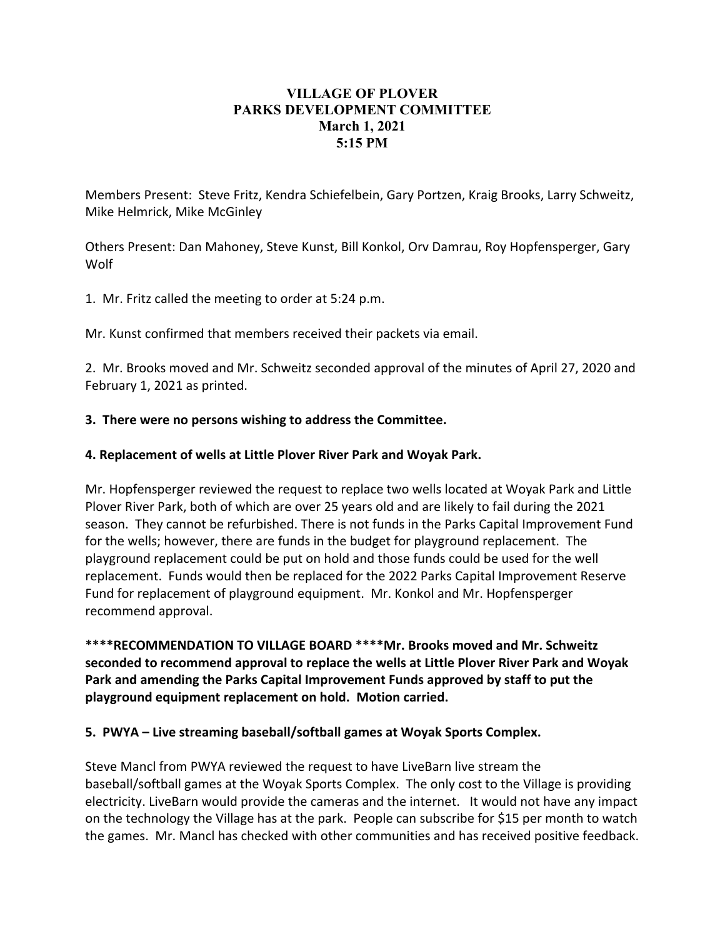## **VILLAGE OF PLOVER PARKS DEVELOPMENT COMMITTEE March 1, 2021 5:15 PM**

Members Present: Steve Fritz, Kendra Schiefelbein, Gary Portzen, Kraig Brooks, Larry Schweitz, Mike Helmrick, Mike McGinley

Others Present: Dan Mahoney, Steve Kunst, Bill Konkol, Orv Damrau, Roy Hopfensperger, Gary Wolf

1. Mr. Fritz called the meeting to order at 5:24 p.m.

Mr. Kunst confirmed that members received their packets via email.

2. Mr. Brooks moved and Mr. Schweitz seconded approval of the minutes of April 27, 2020 and February 1, 2021 as printed.

### **3. There were no persons wishing to address the Committee.**

### **4. Replacement of wells at Little Plover River Park and Woyak Park.**

Mr. Hopfensperger reviewed the request to replace two wells located at Woyak Park and Little Plover River Park, both of which are over 25 years old and are likely to fail during the 2021 season. They cannot be refurbished. There is not funds in the Parks Capital Improvement Fund for the wells; however, there are funds in the budget for playground replacement. The playground replacement could be put on hold and those funds could be used for the well replacement. Funds would then be replaced for the 2022 Parks Capital Improvement Reserve Fund for replacement of playground equipment. Mr. Konkol and Mr. Hopfensperger recommend approval.

**\*\*\*\*RECOMMENDATION TO VILLAGE BOARD \*\*\*\*Mr. Brooks moved and Mr. Schweitz seconded to recommend approval to replace the wells at Little Plover River Park and Woyak Park and amending the Parks Capital Improvement Funds approved by staff to put the playground equipment replacement on hold. Motion carried.** 

#### **5. PWYA – Live streaming baseball/softball games at Woyak Sports Complex.**

Steve Mancl from PWYA reviewed the request to have LiveBarn live stream the baseball/softball games at the Woyak Sports Complex. The only cost to the Village is providing electricity. LiveBarn would provide the cameras and the internet. It would not have any impact on the technology the Village has at the park. People can subscribe for \$15 per month to watch the games. Mr. Mancl has checked with other communities and has received positive feedback.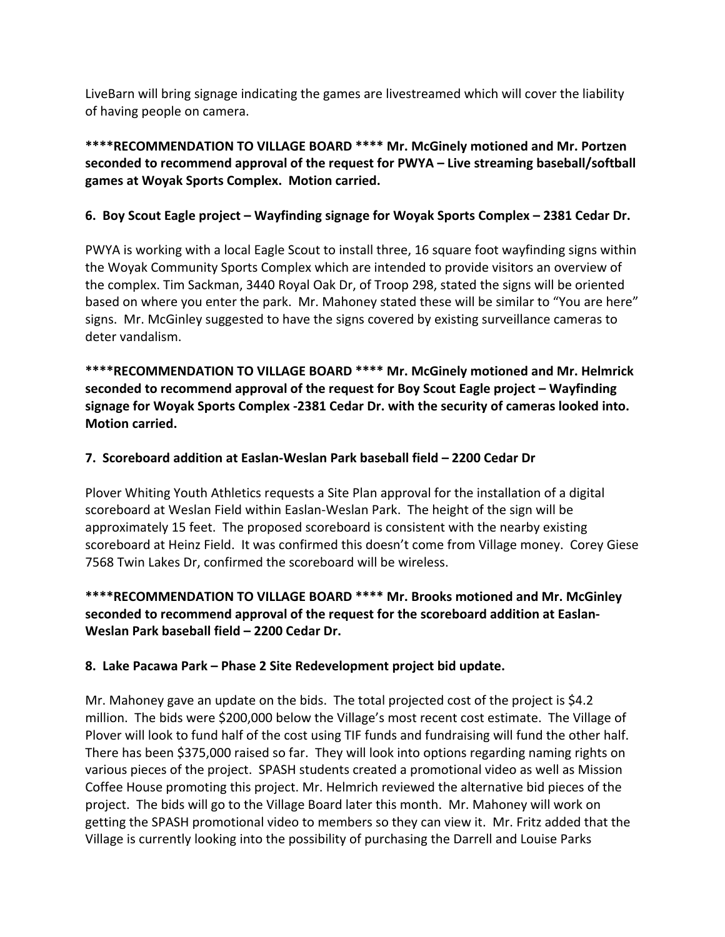LiveBarn will bring signage indicating the games are livestreamed which will cover the liability of having people on camera.

# **\*\*\*\*RECOMMENDATION TO VILLAGE BOARD \*\*\*\* Mr. McGinely motioned and Mr. Portzen seconded to recommend approval of the request for PWYA – Live streaming baseball/softball games at Woyak Sports Complex. Motion carried.**

# **6. Boy Scout Eagle project – Wayfinding signage for Woyak Sports Complex – 2381 Cedar Dr.**

PWYA is working with a local Eagle Scout to install three, 16 square foot wayfinding signs within the Woyak Community Sports Complex which are intended to provide visitors an overview of the complex. Tim Sackman, 3440 Royal Oak Dr, of Troop 298, stated the signs will be oriented based on where you enter the park. Mr. Mahoney stated these will be similar to "You are here" signs. Mr. McGinley suggested to have the signs covered by existing surveillance cameras to deter vandalism.

**\*\*\*\*RECOMMENDATION TO VILLAGE BOARD \*\*\*\* Mr. McGinely motioned and Mr. Helmrick seconded to recommend approval of the request for Boy Scout Eagle project – Wayfinding signage for Woyak Sports Complex ‐2381 Cedar Dr. with the security of cameras looked into. Motion carried.**

## **7. Scoreboard addition at Easlan‐Weslan Park baseball field – 2200 Cedar Dr**

Plover Whiting Youth Athletics requests a Site Plan approval for the installation of a digital scoreboard at Weslan Field within Easlan‐Weslan Park. The height of the sign will be approximately 15 feet. The proposed scoreboard is consistent with the nearby existing scoreboard at Heinz Field. It was confirmed this doesn't come from Village money. Corey Giese 7568 Twin Lakes Dr, confirmed the scoreboard will be wireless.

**\*\*\*\*RECOMMENDATION TO VILLAGE BOARD \*\*\*\* Mr. Brooks motioned and Mr. McGinley seconded to recommend approval of the request for the scoreboard addition at Easlan‐ Weslan Park baseball field – 2200 Cedar Dr.** 

## **8. Lake Pacawa Park – Phase 2 Site Redevelopment project bid update.**

Mr. Mahoney gave an update on the bids. The total projected cost of the project is \$4.2 million. The bids were \$200,000 below the Village's most recent cost estimate. The Village of Plover will look to fund half of the cost using TIF funds and fundraising will fund the other half. There has been \$375,000 raised so far. They will look into options regarding naming rights on various pieces of the project. SPASH students created a promotional video as well as Mission Coffee House promoting this project. Mr. Helmrich reviewed the alternative bid pieces of the project. The bids will go to the Village Board later this month. Mr. Mahoney will work on getting the SPASH promotional video to members so they can view it. Mr. Fritz added that the Village is currently looking into the possibility of purchasing the Darrell and Louise Parks